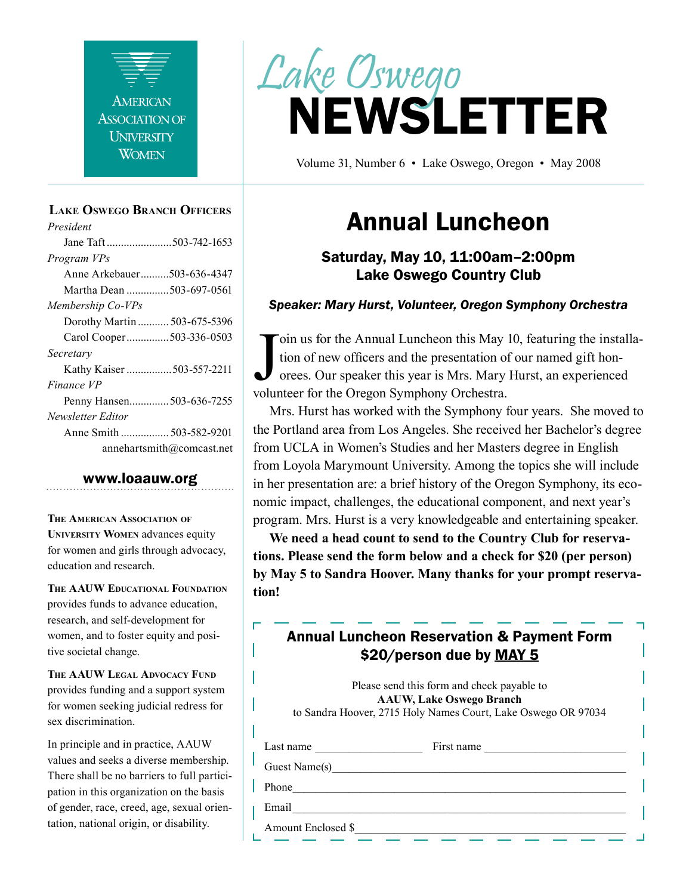

#### **Lake Oswego Branch Officers**

*President* Jane Taft .......................503-742-1653 *Program VPs* Anne Arkebauer..........503-636-4347 Martha Dean ...............503-697-0561 *Membership Co-VPs* Dorothy Martin ........... 503-675-5396 Carol Cooper...............503-336-0503 *Secretary* Kathy Kaiser ................503-557-2211 *Finance VP* Penny Hansen..............503-636-7255 *Newsletter Editor* Anne Smith ................. 503-582-9201 annehartsmith@comcast.net

#### www.loaauw.org

**The American Association of University Women** advances equity for women and girls through advocacy, education and research.

**The AAUW Educational Foundation** provides funds to advance education, research, and self-development for women, and to foster equity and positive societal change.

**The AAUW Legal Advocacy Fund** provides funding and a support system for women seeking judicial redress for sex discrimination.

In principle and in practice, AAUW values and seeks a diverse membership. There shall be no barriers to full participation in this organization on the basis of gender, race, creed, age, sexual orientation, national origin, or disability.



Volume 31, Number 6 • Lake Oswego, Oregon • May 2008

# Annual Luncheon

# Saturday, May 10, 11:00am–2:00pm Lake Oswego Country Club

#### *Speaker: Mary Hurst, Volunteer, Oregon Symphony Orchestra*

Join us for the Annual Luncheon this May 1 tion of new officers and the presentation of orees. Our speaker this year is Mrs. Mary ly volunteer for the Oregon Symphony Orchestra. oin us for the Annual Luncheon this May 10, featuring the installation of new officers and the presentation of our named gift honorees. Our speaker this year is Mrs. Mary Hurst, an experienced

Mrs. Hurst has worked with the Symphony four years. She moved to the Portland area from Los Angeles. She received her Bachelor's degree from UCLA in Women's Studies and her Masters degree in English from Loyola Marymount University. Among the topics she will include in her presentation are: a brief history of the Oregon Symphony, its economic impact, challenges, the educational component, and next year's program. Mrs. Hurst is a very knowledgeable and entertaining speaker.

**We need a head count to send to the Country Club for reservations. Please send the form below and a check for \$20 (per person) by May 5 to Sandra Hoover. Many thanks for your prompt reservation!**

# Annual Luncheon Reservation & Payment Form \$20/person due by MAY 5

Please send this form and check payable to **AAUW, Lake Oswego Branch** to Sandra Hoover, 2715 Holy Names Court, Lake Oswego OR 97034 Last name First name Guest Name(s) Phone\_\_\_\_\_\_\_\_\_\_\_\_\_\_\_\_\_\_\_\_\_\_\_\_\_\_\_\_\_\_\_\_\_\_\_\_\_\_\_\_\_\_\_\_\_\_\_\_\_\_\_\_\_\_\_\_\_\_\_ Email\_\_\_\_\_\_\_\_\_\_\_\_\_\_\_\_\_\_\_\_\_\_\_\_\_\_\_\_\_\_\_\_\_\_\_\_\_\_\_\_\_\_\_\_\_\_\_\_\_\_\_\_\_\_\_\_\_\_\_

Amount Enclosed \$\_\_\_\_\_\_\_\_\_\_\_\_\_\_\_\_\_\_\_\_\_\_\_\_\_\_\_\_\_\_\_\_\_\_\_\_\_\_\_\_\_\_\_\_\_\_\_\_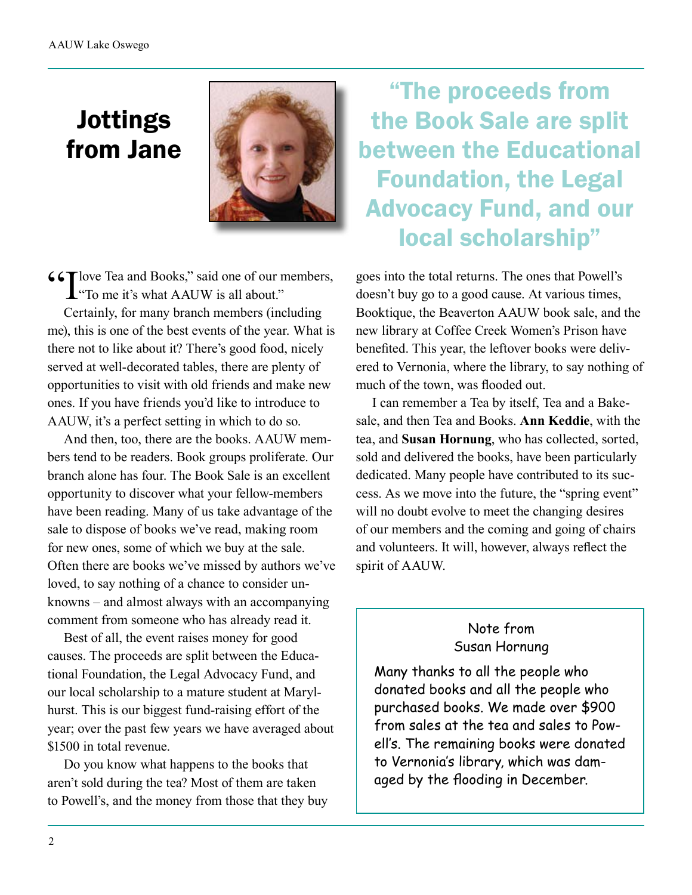# Jottings from Jane



**(6T** love Tea and Books," said one of our members,  $\mathbf{L}$  "To me it's what AAUW is all about."

Certainly, for many branch members (including me), this is one of the best events of the year. What is there not to like about it? There's good food, nicely served at well-decorated tables, there are plenty of opportunities to visit with old friends and make new ones. If you have friends you'd like to introduce to AAUW, it's a perfect setting in which to do so.

And then, too, there are the books. AAUW members tend to be readers. Book groups proliferate. Our branch alone has four. The Book Sale is an excellent opportunity to discover what your fellow-members have been reading. Many of us take advantage of the sale to dispose of books we've read, making room for new ones, some of which we buy at the sale. Often there are books we've missed by authors we've loved, to say nothing of a chance to consider unknowns – and almost always with an accompanying comment from someone who has already read it.

Best of all, the event raises money for good causes. The proceeds are split between the Educational Foundation, the Legal Advocacy Fund, and our local scholarship to a mature student at Marylhurst. This is our biggest fund-raising effort of the year; over the past few years we have averaged about \$1500 in total revenue.

Do you know what happens to the books that aren't sold during the tea? Most of them are taken to Powell's, and the money from those that they buy

"The proceeds from the Book Sale are split between the Educational Foundation, the Legal Advocacy Fund, and our local scholarship"

goes into the total returns. The ones that Powell's doesn't buy go to a good cause. At various times, Booktique, the Beaverton AAUW book sale, and the new library at Coffee Creek Women's Prison have benefited. This year, the leftover books were delivered to Vernonia, where the library, to say nothing of much of the town, was flooded out.

I can remember a Tea by itself, Tea and a Bakesale, and then Tea and Books. **Ann Keddie**, with the tea, and **Susan Hornung**, who has collected, sorted, sold and delivered the books, have been particularly dedicated. Many people have contributed to its success. As we move into the future, the "spring event" will no doubt evolve to meet the changing desires of our members and the coming and going of chairs and volunteers. It will, however, always reflect the spirit of AAUW.

## Note from Susan Hornung

Many thanks to all the people who donated books and all the people who purchased books. We made over \$900 from sales at the tea and sales to Powell's. The remaining books were donated to Vernonia's library, which was damaged by the flooding in December.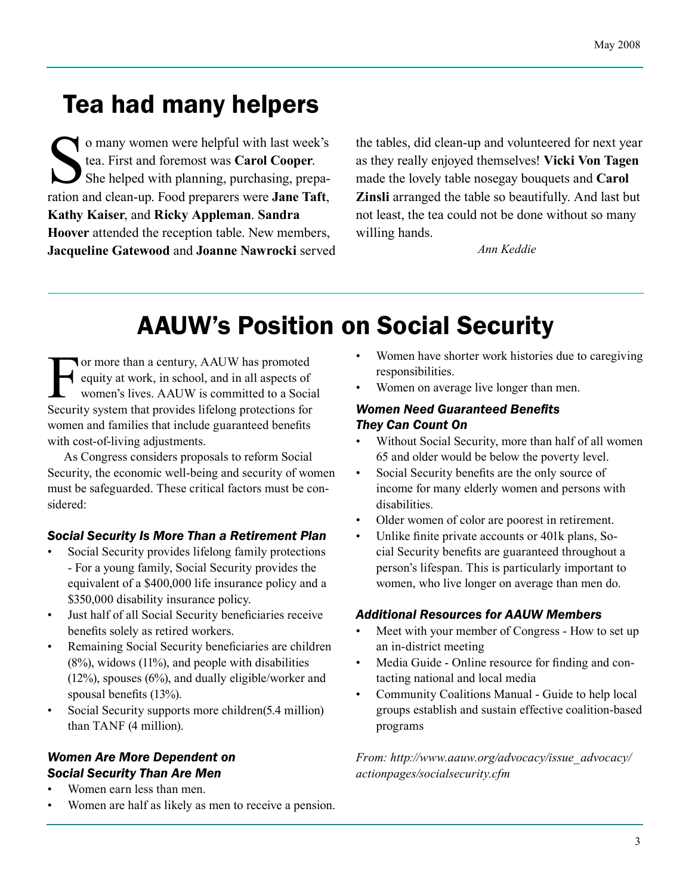# Tea had many helpers

o many women were helpful with last week's<br>tea. First and foremost was **Carol Cooper**.<br>She helped with planning, purchasing, preparation and clean-un Food preparers were **Jane Taft** tea. First and foremost was **Carol Cooper**. She helped with planning, purchasing, preparation and clean-up. Food preparers were **Jane Taft**, **Kathy Kaiser**, and **Ricky Appleman**. **Sandra Hoover** attended the reception table. New members, **Jacqueline Gatewood** and **Joanne Nawrocki** served

the tables, did clean-up and volunteered for next year as they really enjoyed themselves! **Vicki Von Tagen** made the lovely table nosegay bouquets and **Carol Zinsli** arranged the table so beautifully. And last but not least, the tea could not be done without so many willing hands.

*Ann Keddie*

# AAUW's Position on Social Security

For more than a century, AAUW has promoted equity at work, in school, and in all aspects of women's lives. AAUW is committed to a Social Security system that provides lifelong protections for women and families that include guaranteed benefits with cost-of-living adjustments.

As Congress considers proposals to reform Social Security, the economic well-being and security of women must be safeguarded. These critical factors must be considered:

#### *Social Security Is More Than a Retirement Plan*

- Social Security provides lifelong family protections - For a young family, Social Security provides the equivalent of a \$400,000 life insurance policy and a \$350,000 disability insurance policy.
- Just half of all Social Security beneficiaries receive benefits solely as retired workers.
- Remaining Social Security beneficiaries are children  $(8\%)$ , widows  $(11\%)$ , and people with disabilities (12%), spouses (6%), and dually eligible/worker and spousal benefits (13%).
- Social Security supports more children(5.4 million) than TANF (4 million).

#### *Women Are More Dependent on Social Security Than Are Men*

- Women earn less than men.
- Women are half as likely as men to receive a pension.
- Women have shorter work histories due to caregiving responsibilities.
- Women on average live longer than men.

### *Women Need Guaranteed Benefits They Can Count On*

- Without Social Security, more than half of all women 65 and older would be below the poverty level.
- Social Security benefits are the only source of income for many elderly women and persons with disabilities.
- Older women of color are poorest in retirement.
- Unlike finite private accounts or 401k plans, Social Security benefits are guaranteed throughout a person's lifespan. This is particularly important to women, who live longer on average than men do.

#### *Additional Resources for AAUW Members*

- Meet with your member of Congress How to set up an in-district meeting
- Media Guide Online resource for finding and contacting national and local media
- Community Coalitions Manual Guide to help local groups establish and sustain effective coalition-based programs

*From: http://www.aauw.org/advocacy/issue\_advocacy/ actionpages/socialsecurity.cfm*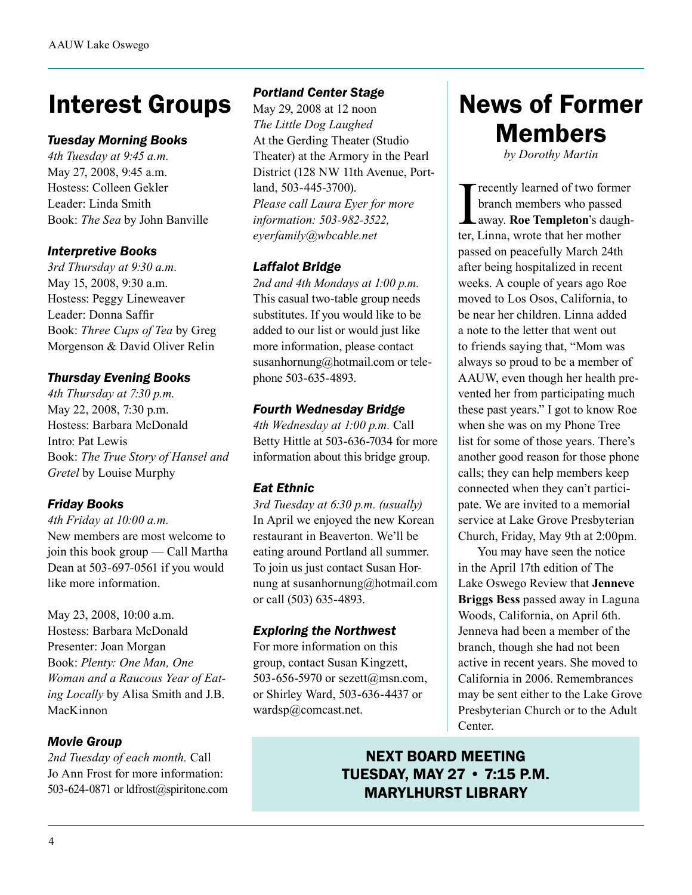# Interest Groups

#### *Tuesday Morning Books*

*4th Tuesday at 9:45 a.m.* May 27, 2008, 9:45 a.m. Hostess: Colleen Gekler Leader: Linda Smith Book: *The Sea* by John Banville

#### *Interpretive Books*

*3rd Thursday at 9:30 a.m.* May 15, 2008, 9:30 a.m. Hostess: Peggy Lineweaver Leader: Donna Saffir Book: *Three Cups of Tea* by Greg Morgenson & David Oliver Relin

### *Thursday Evening Books*

*4th Thursday at 7:30 p.m.* May 22, 2008, 7:30 p.m. Hostess: Barbara McDonald Intro: Pat Lewis Book: *The True Story of Hansel and Gretel* by Louise Murphy

## *Friday Books*

*4th Friday at 10:00 a.m.* New members are most welcome to join this book group — Call Martha Dean at 503-697-0561 if you would like more information.

May 23, 2008, 10:00 a.m. Hostess: Barbara McDonald Presenter: Joan Morgan Book: *Plenty: One Man, One Woman and a Raucous Year of Eating Locally* by Alisa Smith and J.B. MacKinnon

## *Movie Group*

*2nd Tuesday of each month.* Call Jo Ann Frost for more information: 503-624-0871 or ldfrost@spiritone.com

### *Portland Center Stage*

May 29, 2008 at 12 noon *The Little Dog Laughed* At the Gerding Theater (Studio Theater) at the Armory in the Pearl District (128 NW 11th Avenue, Portland, 503-445-3700). *Please call Laura Eyer for more information: 503-982-3522, eyerfamily@wbcable.net*

# *Laffalot Bridge*

*2nd and 4th Mondays at 1:00 p.m.* This casual two-table group needs substitutes. If you would like to be added to our list or would just like more information, please contact susanhornung@hotmail.com or telephone 503-635-4893.

## *Fourth Wednesday Bridge*

*4th Wednesday at 1:00 p.m.* Call Betty Hittle at 503-636-7034 for more information about this bridge group.

## *Eat Ethnic*

*3rd Tuesday at 6:30 p.m. (usually)* In April we enjoyed the new Korean restaurant in Beaverton. We'll be eating around Portland all summer. To join us just contact Susan Hornung at susanhornung@hotmail.com or call (503) 635-4893.

## *Exploring the Northwest*

For more information on this group, contact Susan Kingzett, 503-656-5970 or sezett@msn.com, or Shirley Ward, 503-636-4437 or wardsp@comcast.net.

# News of Former Members

*by Dorothy Martin* 

Tecently learned of two former<br>branch members who passed<br>away. **Roe Templeton**'s daugh-<br>ter Linna, wrote that her mother branch members who passed away. **Roe Templeton**'s daughter, Linna, wrote that her mother passed on peacefully March 24th after being hospitalized in recent weeks. A couple of years ago Roe moved to Los Osos, California, to be near her children. Linna added a note to the letter that went out to friends saying that, "Mom was always so proud to be a member of AAUW, even though her health prevented her from participating much these past years." I got to know Roe when she was on my Phone Tree list for some of those years. There's another good reason for those phone calls; they can help members keep connected when they can't participate. We are invited to a memorial service at Lake Grove Presbyterian Church, Friday, May 9th at 2:00pm.

You may have seen the notice in the April 17th edition of The Lake Oswego Review that **Jenneve Briggs Bess** passed away in Laguna Woods, California, on April 6th. Jenneva had been a member of the branch, though she had not been active in recent years. She moved to California in 2006. Remembrances may be sent either to the Lake Grove Presbyterian Church or to the Adult Center.

# NEXT BOARD MEETING TUESDAY, MAY 27 • 7:15 P.M. MARYLHURST LIBRARY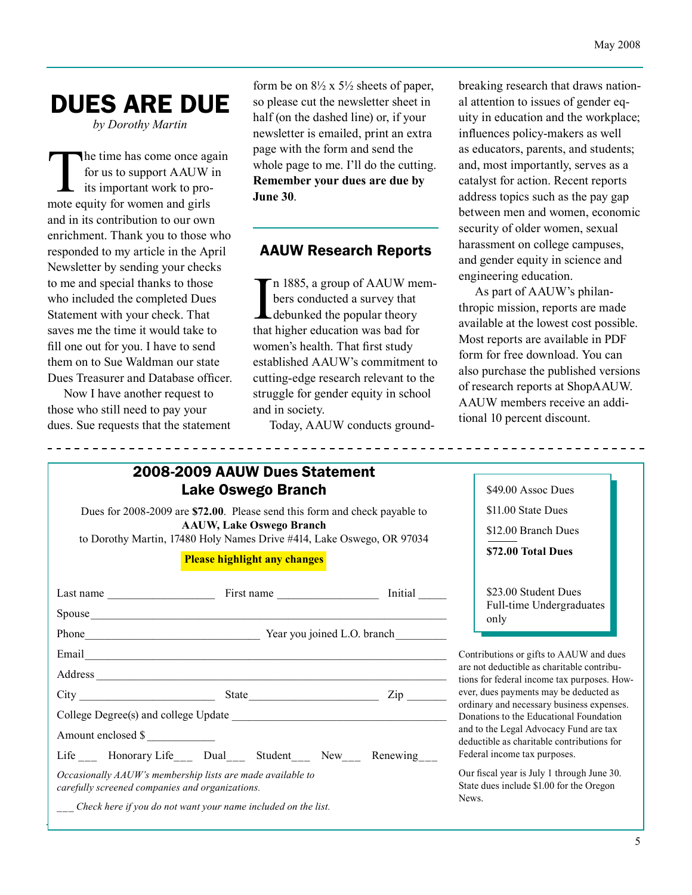# DUES ARE DUE

*by Dorothy Martin*

The time has come once again for us to support AAUW in its important work to promote equity for women and girls and in its contribution to our own enrichment. Thank you to those who responded to my article in the April Newsletter by sending your checks to me and special thanks to those who included the completed Dues Statement with your check. That saves me the time it would take to fill one out for you. I have to send them on to Sue Waldman our state Dues Treasurer and Database officer.

Now I have another request to those who still need to pay your dues. Sue requests that the statement

form be on  $8\frac{1}{2}$  x  $5\frac{1}{2}$  sheets of paper, so please cut the newsletter sheet in half (on the dashed line) or, if your newsletter is emailed, print an extra page with the form and send the whole page to me. I'll do the cutting. **Remember your dues are due by June 30**.

# AAUW Research Reports

 $\prod_{\text{that}}$ n 1885, a group of AAUW members conducted a survey that debunked the popular theory that higher education was bad for women's health. That first study established AAUW's commitment to cutting-edge research relevant to the struggle for gender equity in school and in society.

Today, AAUW conducts ground-

breaking research that draws national attention to issues of gender equity in education and the workplace; influences policy-makers as well as educators, parents, and students; and, most importantly, serves as a catalyst for action. Recent reports address topics such as the pay gap between men and women, economic security of older women, sexual harassment on college campuses, and gender equity in science and engineering education.

As part of AAUW's philanthropic mission, reports are made available at the lowest cost possible. Most reports are available in PDF form for free download. You can also purchase the published versions of research reports at ShopAAUW. AAUW members receive an additional 10 percent discount.

| 2008-2009 AAUW Dues Statement                                                                                                                                                                                                        |                                                                                           |  |  |
|--------------------------------------------------------------------------------------------------------------------------------------------------------------------------------------------------------------------------------------|-------------------------------------------------------------------------------------------|--|--|
| Lake Oswego Branch                                                                                                                                                                                                                   | \$49.00 Assoc Dues                                                                        |  |  |
| Dues for 2008-2009 are \$72.00. Please send this form and check payable to                                                                                                                                                           | \$11.00 State Dues                                                                        |  |  |
| <b>AAUW, Lake Oswego Branch</b><br>to Dorothy Martin, 17480 Holy Names Drive #414, Lake Oswego, OR 97034                                                                                                                             | \$12.00 Branch Dues                                                                       |  |  |
|                                                                                                                                                                                                                                      | \$72.00 Total Dues                                                                        |  |  |
| <b>Please highlight any changes</b>                                                                                                                                                                                                  |                                                                                           |  |  |
|                                                                                                                                                                                                                                      | \$23.00 Student Dues                                                                      |  |  |
|                                                                                                                                                                                                                                      | Full-time Undergraduates<br>only                                                          |  |  |
|                                                                                                                                                                                                                                      |                                                                                           |  |  |
| Email <u>contract the contract of the contract of the contract of the contract of the contract of the contract of the contract of the contract of the contract of the contract of the contract of the contract of the contract o</u> | Contributions or gifts to AAUW and dues                                                   |  |  |
|                                                                                                                                                                                                                                      | are not deductible as charitable contribu-<br>tions for federal income tax purposes. How- |  |  |
|                                                                                                                                                                                                                                      | ever, dues payments may be deducted as                                                    |  |  |
|                                                                                                                                                                                                                                      | ordinary and necessary business expenses.<br>Donations to the Educational Foundation      |  |  |
| Amount enclosed \$                                                                                                                                                                                                                   | and to the Legal Advocacy Fund are tax<br>deductible as charitable contributions for      |  |  |
| Life ___ Honorary Life ___ Dual ___ Student ___ New ___ Renewing ___                                                                                                                                                                 | Federal income tax purposes.                                                              |  |  |
| Occasionally AAUW's membership lists are made available to<br>carefully screened companies and organizations.                                                                                                                        | Our fiscal year is July 1 through June 30.<br>State dues include \$1.00 for the Oregon    |  |  |
| Check here if you do not want your name included on the list.                                                                                                                                                                        | News.                                                                                     |  |  |